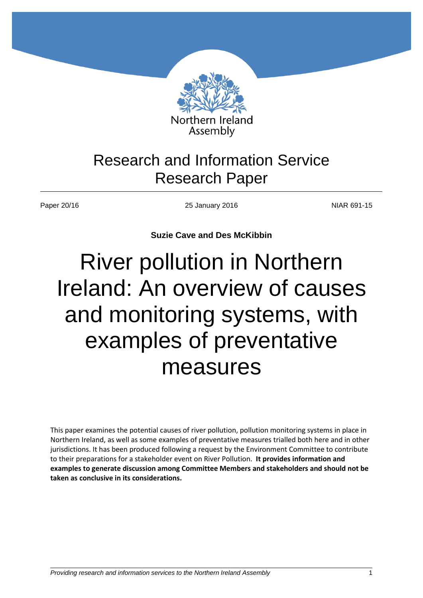

# Research and Information Service Research Paper

Paper 20/16 **NIAR 691-15** 25 January 2016 25 January 2016

**Suzie Cave and Des McKibbin**

# River pollution in Northern Ireland: An overview of causes and monitoring systems, with examples of preventative measures

This paper examines the potential causes of river pollution, pollution monitoring systems in place in Northern Ireland, as well as some examples of preventative measures trialled both here and in other jurisdictions. It has been produced following a request by the Environment Committee to contribute to their preparations for a stakeholder event on River Pollution. **It provides information and examples to generate discussion among Committee Members and stakeholders and should not be taken as conclusive in its considerations.**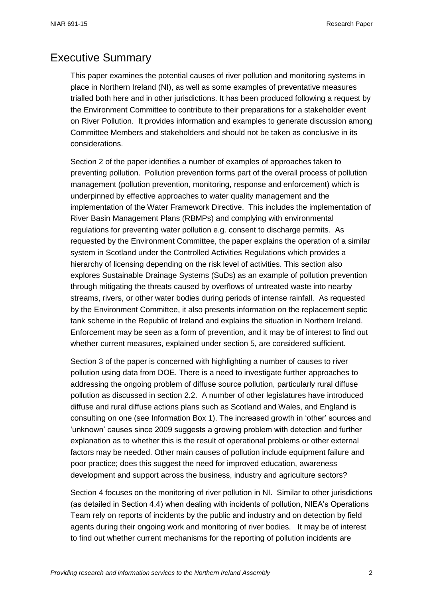# <span id="page-1-0"></span>Executive Summary

This paper examines the potential causes of river pollution and monitoring systems in place in Northern Ireland (NI), as well as some examples of preventative measures trialled both here and in other jurisdictions. It has been produced following a request by the Environment Committee to contribute to their preparations for a stakeholder event on River Pollution. It provides information and examples to generate discussion among Committee Members and stakeholders and should not be taken as conclusive in its considerations.

Section 2 of the paper identifies a number of examples of approaches taken to preventing pollution. Pollution prevention forms part of the overall process of pollution management (pollution prevention, monitoring, response and enforcement) which is underpinned by effective approaches to water quality management and the implementation of the Water Framework Directive. This includes the implementation of River Basin Management Plans (RBMPs) and complying with environmental regulations for preventing water pollution e.g. consent to discharge permits. As requested by the Environment Committee, the paper explains the operation of a similar system in Scotland under the Controlled Activities Regulations which provides a hierarchy of licensing depending on the risk level of activities. This section also explores Sustainable Drainage Systems (SuDs) as an example of pollution prevention through mitigating the threats caused by overflows of untreated waste into nearby streams, rivers, or other water bodies during periods of intense rainfall. As requested by the Environment Committee, it also presents information on the replacement septic tank scheme in the Republic of Ireland and explains the situation in Northern Ireland. Enforcement may be seen as a form of prevention, and it may be of interest to find out whether current measures, explained under section 5, are considered sufficient.

Section 3 of the paper is concerned with highlighting a number of causes to river pollution using data from DOE. There is a need to investigate further approaches to addressing the ongoing problem of diffuse source pollution, particularly rural diffuse pollution as discussed in section 2.2. A number of other legislatures have introduced diffuse and rural diffuse actions plans such as Scotland and Wales, and England is consulting on one (see Information Box 1). The increased growth in 'other' sources and 'unknown' causes since 2009 suggests a growing problem with detection and further explanation as to whether this is the result of operational problems or other external factors may be needed. Other main causes of pollution include equipment failure and poor practice; does this suggest the need for improved education, awareness development and support across the business, industry and agriculture sectors?

Section 4 focuses on the monitoring of river pollution in NI. Similar to other jurisdictions (as detailed in Section 4.4) when dealing with incidents of pollution, NIEA's Operations Team rely on reports of incidents by the public and industry and on detection by field agents during their ongoing work and monitoring of river bodies. It may be of interest to find out whether current mechanisms for the reporting of pollution incidents are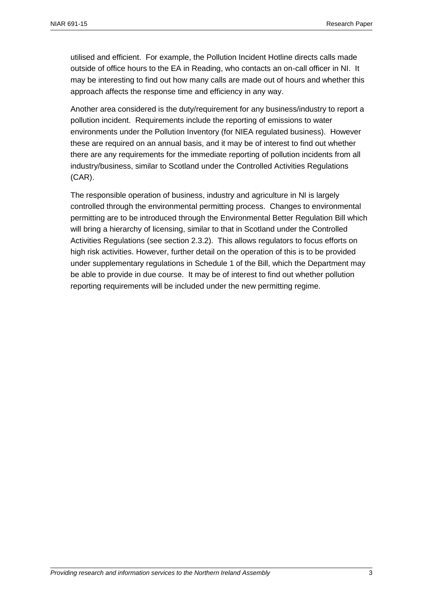utilised and efficient. For example, the Pollution Incident Hotline directs calls made outside of office hours to the EA in Reading, who contacts an on-call officer in NI. It may be interesting to find out how many calls are made out of hours and whether this approach affects the response time and efficiency in any way.

Another area considered is the duty/requirement for any business/industry to report a pollution incident. Requirements include the reporting of emissions to water environments under the Pollution Inventory (for NIEA regulated business). However these are required on an annual basis, and it may be of interest to find out whether there are any requirements for the immediate reporting of pollution incidents from all industry/business, similar to Scotland under the Controlled Activities Regulations (CAR).

The responsible operation of business, industry and agriculture in NI is largely controlled through the environmental permitting process. Changes to environmental permitting are to be introduced through the Environmental Better Regulation Bill which will bring a hierarchy of licensing, similar to that in Scotland under the Controlled Activities Regulations (see section 2.3.2). This allows regulators to focus efforts on high risk activities. However, further detail on the operation of this is to be provided under supplementary regulations in Schedule 1 of the Bill, which the Department may be able to provide in due course. It may be of interest to find out whether pollution reporting requirements will be included under the new permitting regime.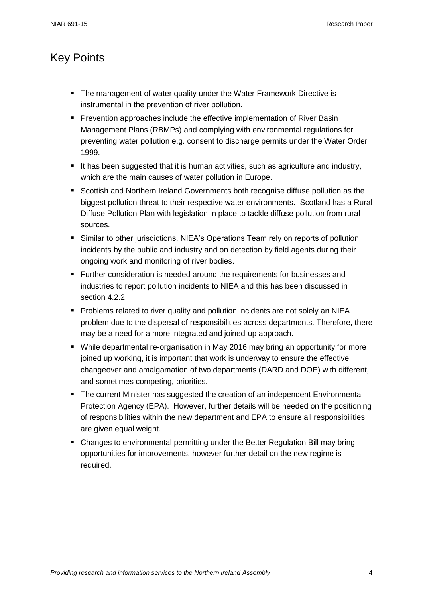# <span id="page-3-0"></span>Key Points

- The management of water quality under the Water Framework Directive is instrumental in the prevention of river pollution.
- **Perevention approaches include the effective implementation of River Basin** Management Plans (RBMPs) and complying with environmental regulations for preventing water pollution e.g. consent to discharge permits under the Water Order 1999.
- It has been suggested that it is human activities, such as agriculture and industry, which are the main causes of water pollution in Europe.
- Scottish and Northern Ireland Governments both recognise diffuse pollution as the biggest pollution threat to their respective water environments. Scotland has a Rural Diffuse Pollution Plan with legislation in place to tackle diffuse pollution from rural sources.
- Similar to other jurisdictions, NIEA's Operations Team rely on reports of pollution incidents by the public and industry and on detection by field agents during their ongoing work and monitoring of river bodies.
- **Further consideration is needed around the requirements for businesses and** industries to report pollution incidents to NIEA and this has been discussed in section 4.2.2
- **Problems related to river quality and pollution incidents are not solely an NIEA** problem due to the dispersal of responsibilities across departments. Therefore, there may be a need for a more integrated and joined-up approach.
- While departmental re-organisation in May 2016 may bring an opportunity for more joined up working, it is important that work is underway to ensure the effective changeover and amalgamation of two departments (DARD and DOE) with different, and sometimes competing, priorities.
- The current Minister has suggested the creation of an independent Environmental Protection Agency (EPA). However, further details will be needed on the positioning of responsibilities within the new department and EPA to ensure all responsibilities are given equal weight.
- Changes to environmental permitting under the Better Regulation Bill may bring opportunities for improvements, however further detail on the new regime is required.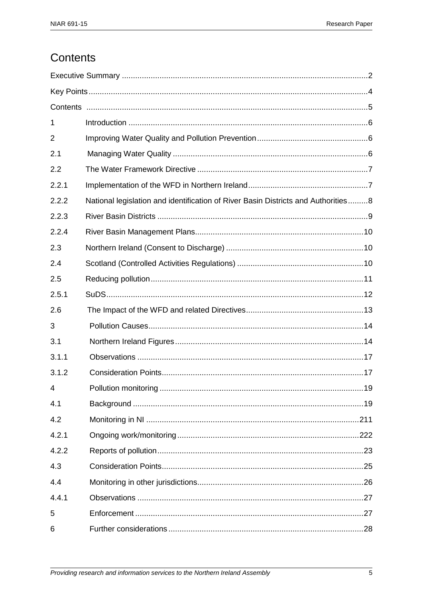# <span id="page-4-0"></span>Contents

| 1              |                                                                                   |  |  |  |
|----------------|-----------------------------------------------------------------------------------|--|--|--|
| 2              |                                                                                   |  |  |  |
| 2.1            |                                                                                   |  |  |  |
| 2.2            |                                                                                   |  |  |  |
| 2.2.1          |                                                                                   |  |  |  |
| 2.2.2          | National legislation and identification of River Basin Districts and Authorities8 |  |  |  |
| 2.2.3          |                                                                                   |  |  |  |
| 2.2.4          |                                                                                   |  |  |  |
| 2.3            |                                                                                   |  |  |  |
| 2.4            |                                                                                   |  |  |  |
| 2.5            |                                                                                   |  |  |  |
| 2.5.1          |                                                                                   |  |  |  |
| 2.6            |                                                                                   |  |  |  |
| 3              |                                                                                   |  |  |  |
| 3.1            |                                                                                   |  |  |  |
| 3.1.1          |                                                                                   |  |  |  |
| 3.1.2          |                                                                                   |  |  |  |
| $\overline{4}$ |                                                                                   |  |  |  |
| 4.1            |                                                                                   |  |  |  |
| 4.2            |                                                                                   |  |  |  |
| 4.2.1          |                                                                                   |  |  |  |
| 4.2.2          |                                                                                   |  |  |  |
| 4.3            |                                                                                   |  |  |  |
| 4.4            |                                                                                   |  |  |  |
| 4.4.1          |                                                                                   |  |  |  |
| 5              |                                                                                   |  |  |  |
| 6              |                                                                                   |  |  |  |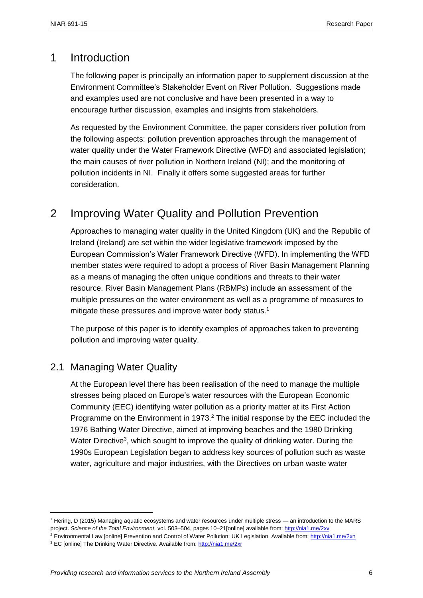# <span id="page-5-0"></span>1 Introduction

The following paper is principally an information paper to supplement discussion at the Environment Committee's Stakeholder Event on River Pollution. Suggestions made and examples used are not conclusive and have been presented in a way to encourage further discussion, examples and insights from stakeholders.

As requested by the Environment Committee, the paper considers river pollution from the following aspects: pollution prevention approaches through the management of water quality under the Water Framework Directive (WFD) and associated legislation; the main causes of river pollution in Northern Ireland (NI); and the monitoring of pollution incidents in NI. Finally it offers some suggested areas for further consideration.

# <span id="page-5-1"></span>2 Improving Water Quality and Pollution Prevention

Approaches to managing water quality in the United Kingdom (UK) and the Republic of Ireland (Ireland) are set within the wider legislative framework imposed by the European Commission's Water Framework Directive (WFD). In implementing the WFD member states were required to adopt a process of River Basin Management Planning as a means of managing the often unique conditions and threats to their water resource. River Basin Management Plans (RBMPs) include an assessment of the multiple pressures on the water environment as well as a programme of measures to mitigate these pressures and improve water body status.<sup>1</sup>

The purpose of this paper is to identify examples of approaches taken to preventing pollution and improving water quality.

# <span id="page-5-2"></span>2.1 Managing Water Quality

 $\overline{\phantom{a}}$ 

At the European level there has been realisation of the need to manage the multiple stresses being placed on Europe's water resources with the European Economic Community (EEC) identifying water pollution as a priority matter at its First Action Programme on the Environment in 1973.<sup>2</sup> The initial response by the EEC included the 1976 Bathing Water Directive, aimed at improving beaches and the 1980 Drinking Water Directive<sup>3</sup>, which sought to improve the quality of drinking water. During the 1990s European Legislation began to address key sources of pollution such as waste water, agriculture and major industries, with the Directives on urban waste water

<sup>1</sup> Hering, D (2015) Managing aquatic ecosystems and water resources under multiple stress — an introduction to the MARS project. *Science of the Total Environment,* vol. 503–504, pages 10–21[online] available from[: http://nia1.me/2xv](http://nia1.me/2xv)

<sup>2</sup> Environmental Law [online] Prevention and Control of Water Pollution: UK Legislation. Available from:<http://nia1.me/2xn>

<sup>&</sup>lt;sup>3</sup> EC [online] The Drinking Water Directive. Available from:<http://nia1.me/2xr>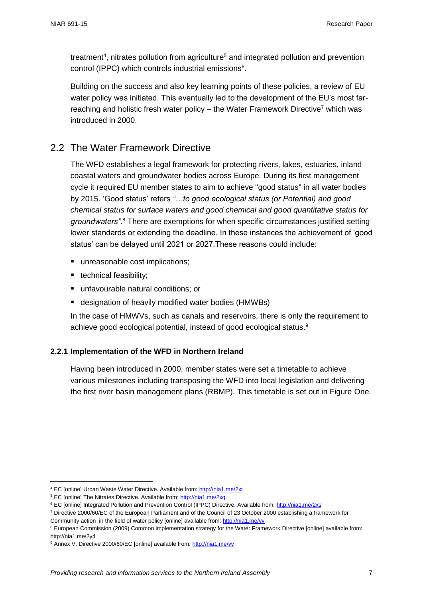treatment<sup>4</sup>, nitrates pollution from agriculture<sup>5</sup> and integrated pollution and prevention control (IPPC) which controls industrial emissions<sup>6</sup>.

Building on the success and also key learning points of these policies, a review of EU water policy was initiated. This eventually led to the development of the EU's most farreaching and holistic fresh water policy – the Water Framework Directive<sup>7</sup> which was introduced in 2000.

### <span id="page-6-0"></span>2.2 The Water Framework Directive

The WFD establishes a legal framework for protecting rivers, lakes, estuaries, inland coastal waters and groundwater bodies across Europe. During its first management cycle it required EU member states to aim to achieve "good status" in all water bodies by 2015. 'Good status' refers *"…to good ecological status (or Potential) and good chemical status for surface waters and good chemical and good quantitative status for groundwaters"*. <sup>8</sup> There are exemptions for when specific circumstances justified setting lower standards or extending the deadline. In these instances the achievement of 'good status' can be delayed until 2021 or 2027.These reasons could include:

- unreasonable cost implications;
- **technical feasibility;**
- unfavourable natural conditions: or
- designation of heavily modified water bodies (HMWBs)

In the case of HMWVs, such as canals and reservoirs, there is only the requirement to achieve good ecological potential, instead of good ecological status.<sup>9</sup>

#### <span id="page-6-1"></span>**2.2.1 Implementation of the WFD in Northern Ireland**

Having been introduced in 2000, member states were set a timetable to achieve various milestones including transposing the WFD into local legislation and delivering the first river basin management plans (RBMP). This timetable is set out in Figure One.

 $\overline{\phantom{a}}$ 

<sup>4</sup> EC [online] Urban Waste Water Directive. Available from[: http://nia1.me/2xt](http://nia1.me/2xt)

<sup>5</sup> EC [online] The Nitrates Directive. Available from:<http://nia1.me/2xq>

<sup>6</sup> EC [online] Integrated Pollution and Prevention Control (IPPC) Directive. Available from:<http://nia1.me/2xs>

<sup>7</sup> Directive 2000/60/EC of the European Parliament and of the Council of 23 October 2000 establishing a framework for Community action in the field of water policy [online] available from[: http://nia1.me/vv](http://nia1.me/vv)

<sup>&</sup>lt;sup>8</sup> European Commission (2009) Common implementation strategy for the Water Framework Directive [online] available from: http://nia1.me/2y4

<sup>&</sup>lt;sup>9</sup> Annex V, Directive 2000/60/EC [online] available from[: http://nia1.me/vv](http://nia1.me/vv)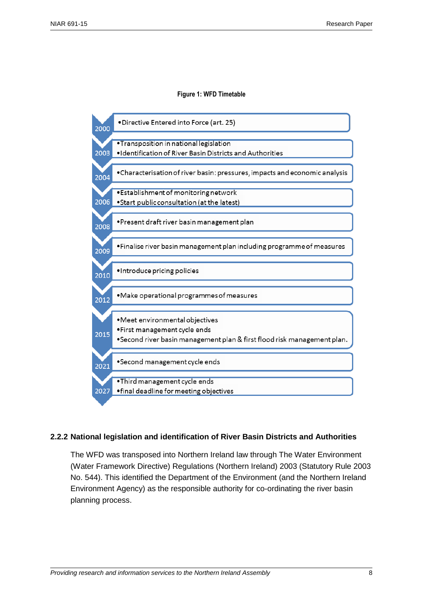#### **Figure 1: WFD Timetable**



#### <span id="page-7-0"></span>**2.2.2 National legislation and identification of River Basin Districts and Authorities**

The WFD was transposed into Northern Ireland law through The Water Environment (Water Framework Directive) Regulations (Northern Ireland) 2003 (Statutory Rule 2003 No. 544). This identified the Department of the Environment (and the Northern Ireland Environment Agency) as the responsible authority for co-ordinating the river basin planning process.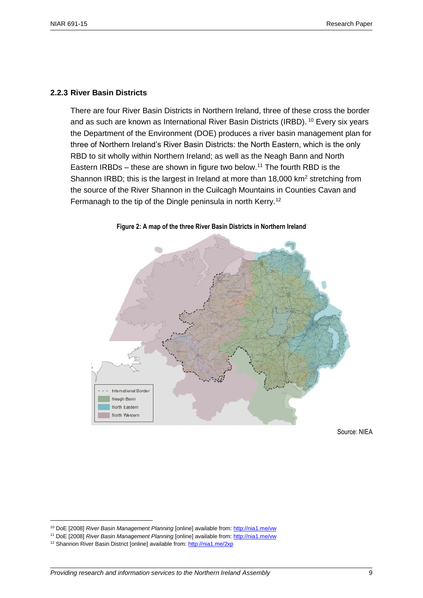#### <span id="page-8-0"></span>**2.2.3 River Basin Districts**

There are four River Basin Districts in Northern Ireland, three of these cross the border and as such are known as International River Basin Districts (IRBD). <sup>10</sup> Every six years the Department of the Environment (DOE) produces a river basin management plan for three of Northern Ireland's River Basin Districts: the North Eastern, which is the only RBD to sit wholly within Northern Ireland; as well as the Neagh Bann and North Eastern IRBDs – these are shown in figure two below.<sup>11</sup> The fourth RBD is the Shannon IRBD; this is the largest in Ireland at more than  $18,000$  km<sup>2</sup> stretching from the source of the River Shannon in the Cuilcagh Mountains in Counties Cavan and Fermanagh to the tip of the Dingle peninsula in north Kerry.<sup>12</sup>



**Figure 2: A map of the three River Basin Districts in Northern Ireland**

Source: NIEA

<sup>10</sup> DoE [2008] *River Basin Management Planning* [online] available from[: http://nia1.me/vw](http://nia1.me/vw)

<sup>11</sup> DoE [2008] *River Basin Management Planning* [online] available from[: http://nia1.me/vw](http://nia1.me/vw)

<sup>&</sup>lt;sup>12</sup> Shannon River Basin District [online] available from:<http://nia1.me/2xp>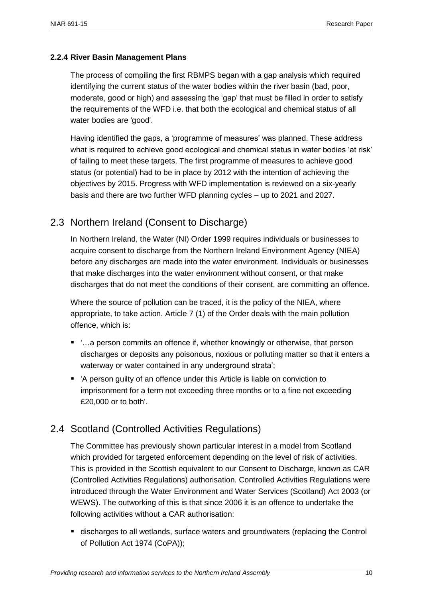#### <span id="page-9-0"></span>**2.2.4 River Basin Management Plans**

The process of compiling the first RBMPS began with a gap analysis which required identifying the current status of the water bodies within the river basin (bad, poor, moderate, good or high) and assessing the 'gap' that must be filled in order to satisfy the requirements of the WFD i.e. that both the ecological and chemical status of all water bodies are 'good'.

Having identified the gaps, a 'programme of measures' was planned. These address what is required to achieve good ecological and chemical status in water bodies 'at risk' of failing to meet these targets. The first programme of measures to achieve good status (or potential) had to be in place by 2012 with the intention of achieving the objectives by 2015. Progress with WFD implementation is reviewed on a six-yearly basis and there are two further WFD planning cycles – up to 2021 and 2027.

### <span id="page-9-1"></span>2.3 Northern Ireland (Consent to Discharge)

In Northern Ireland, the Water (NI) Order 1999 requires individuals or businesses to acquire consent to discharge from the Northern Ireland Environment Agency (NIEA) before any discharges are made into the water environment. Individuals or businesses that make discharges into the water environment without consent, or that make discharges that do not meet the conditions of their consent, are committing an offence.

Where the source of pollution can be traced, it is the policy of the NIEA, where appropriate, to take action. Article 7 (1) of the Order deals with the main pollution offence, which is:

- '…a person commits an offence if, whether knowingly or otherwise, that person discharges or deposits any poisonous, noxious or polluting matter so that it enters a waterway or water contained in any underground strata';
- 'A person guilty of an offence under this Article is liable on conviction to imprisonment for a term not exceeding three months or to a fine not exceeding £20,000 or to both'.

### <span id="page-9-2"></span>2.4 Scotland (Controlled Activities Regulations)

The Committee has previously shown particular interest in a model from Scotland which provided for targeted enforcement depending on the level of risk of activities. This is provided in the Scottish equivalent to our Consent to Discharge, known as CAR (Controlled Activities Regulations) authorisation. Controlled Activities Regulations were introduced through the Water Environment and Water Services (Scotland) Act 2003 (or WEWS). The outworking of this is that since 2006 it is an offence to undertake the following activities without a CAR authorisation:

 discharges to all wetlands, surface waters and groundwaters (replacing the Control of Pollution Act 1974 (CoPA));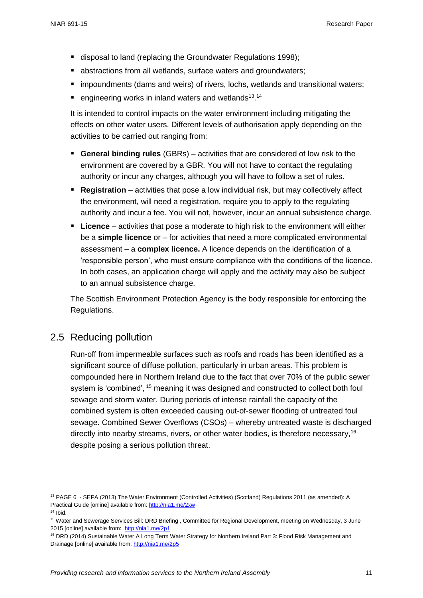- disposal to land (replacing the Groundwater Regulations 1998);
- abstractions from all wetlands, surface waters and groundwaters;
- impoundments (dams and weirs) of rivers, lochs, wetlands and transitional waters;
- $\blacksquare$  engineering works in inland waters and wetlands<sup>13</sup>.<sup>14</sup>

It is intended to control impacts on the water environment including mitigating the effects on other water users. Different levels of authorisation apply depending on the activities to be carried out ranging from:

- **General binding rules** (GBRs) activities that are considered of low risk to the environment are covered by a GBR. You will not have to contact the regulating authority or incur any charges, although you will have to follow a set of rules.
- **Registration** activities that pose a low individual risk, but may collectively affect the environment, will need a registration, require you to apply to the regulating authority and incur a fee. You will not, however, incur an annual subsistence charge.
- **Licence** activities that pose a moderate to high risk to the environment will either be a **simple licence** or – for activities that need a more complicated environmental assessment – a **complex licence.** A licence depends on the identification of a 'responsible person', who must ensure compliance with the conditions of the licence. In both cases, an application charge will apply and the activity may also be subject to an annual subsistence charge.

The Scottish Environment Protection Agency is the body responsible for enforcing the Regulations.

### <span id="page-10-0"></span>2.5 Reducing pollution

Run-off from impermeable surfaces such as roofs and roads has been identified as a significant source of diffuse pollution, particularly in urban areas. This problem is compounded here in Northern Ireland due to the fact that over 70% of the public sewer system is 'combined', <sup>15</sup> meaning it was designed and constructed to collect both foul sewage and storm water. During periods of intense rainfall the capacity of the combined system is often exceeded causing out-of-sewer flooding of untreated foul sewage. Combined Sewer Overflows (CSOs) – whereby untreated waste is discharged directly into nearby streams, rivers, or other water bodies, is therefore necessary,<sup>16</sup> despite posing a serious pollution threat.

 $\overline{\phantom{a}}$ 

<sup>13</sup> PAGE 6 - SEPA (2013) The Water Environment (Controlled Activities) (Scotland) Regulations 2011 (as amended): A Practical Guide [online] available from[: http://nia1.me/2xw](http://nia1.me/2xw)

 $14$  Ibid.

<sup>&</sup>lt;sup>15</sup> Water and Sewerage Services Bill: DRD Briefing, Committee for Regional Development, meeting on Wednesday, 3 June 2015 [online] available from:<http://nia1.me/2p1>

<sup>&</sup>lt;sup>16</sup> DRD (2014) Sustainable Water A Long Term Water Strategy for Northern Ireland Part 3: Flood Risk Management and Drainage [online] available from:<http://nia1.me/2p5>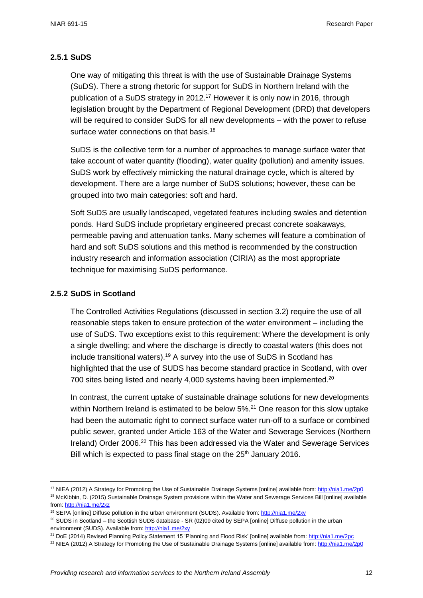#### <span id="page-11-0"></span>**2.5.1 SuDS**

One way of mitigating this threat is with the use of Sustainable Drainage Systems (SuDS). There a strong rhetoric for support for SuDS in Northern Ireland with the publication of a SuDS strategy in 2012. <sup>17</sup> However it is only now in 2016, through legislation brought by the Department of Regional Development (DRD) that developers will be required to consider SuDS for all new developments – with the power to refuse surface water connections on that basis.<sup>18</sup>

SuDS is the collective term for a number of approaches to manage surface water that take account of water quantity (flooding), water quality (pollution) and amenity issues. SuDS work by effectively mimicking the natural drainage cycle, which is altered by development. There are a large number of SuDS solutions; however, these can be grouped into two main categories: soft and hard.

Soft SuDS are usually landscaped, vegetated features including swales and detention ponds. Hard SuDS include proprietary engineered precast concrete soakaways, permeable paving and attenuation tanks. Many schemes will feature a combination of hard and soft SuDS solutions and this method is recommended by the construction industry research and information association (CIRIA) as the most appropriate technique for maximising SuDS performance.

#### **2.5.2 SuDS in Scotland**

 $\overline{\phantom{a}}$ 

The Controlled Activities Regulations (discussed in section 3.2) require the use of all reasonable steps taken to ensure protection of the water environment – including the use of SuDS. Two exceptions exist to this requirement: Where the development is only a single dwelling; and where the discharge is directly to coastal waters (this does not include transitional waters).<sup>19</sup> A survey into the use of SuDS in Scotland has highlighted that the use of SUDS has become standard practice in Scotland, with over 700 sites being listed and nearly 4,000 systems having been implemented.<sup>20</sup>

In contrast, the current uptake of sustainable drainage solutions for new developments within Northern Ireland is estimated to be below 5%.<sup>21</sup> One reason for this slow uptake had been the automatic right to connect surface water run-off to a surface or combined public sewer, granted under Article 163 of the Water and Sewerage Services (Northern Ireland) Order 2006.<sup>22</sup> This has been addressed via the Water and Sewerage Services Bill which is expected to pass final stage on the  $25<sup>th</sup>$  January 2016.

<sup>&</sup>lt;sup>17</sup> NIEA (2012) A Strategy for Promoting the Use of Sustainable Drainage Systems [online] available from:<http://nia1.me/2p0> <sup>18</sup> McKibbin, D. (2015) Sustainable Drainage System provisions within the Water and Sewerage Services Bill [online] available from[: http://nia1.me/2xz](http://nia1.me/2xz)

<sup>19</sup> SEPA [online] Diffuse pollution in the urban environment (SUDS). Available from[: http://nia1.me/2xy](http://nia1.me/2xy)

<sup>&</sup>lt;sup>20</sup> SUDS in Scotland – the Scottish SUDS database - SR (02)09 cited by SEPA [online] Diffuse pollution in the urban environment (SUDS). Available from[: http://nia1.me/2xy](http://nia1.me/2xy)

<sup>21</sup> DoE (2014) Revised Planning Policy Statement 15 'Planning and Flood Risk' [online] available from[: http://nia1.me/2pc](http://nia1.me/2pc)

<sup>&</sup>lt;sup>22</sup> NIEA (2012) A Strategy for Promoting the Use of Sustainable Drainage Systems [online] available from[: http://nia1.me/2p0](http://nia1.me/2p0)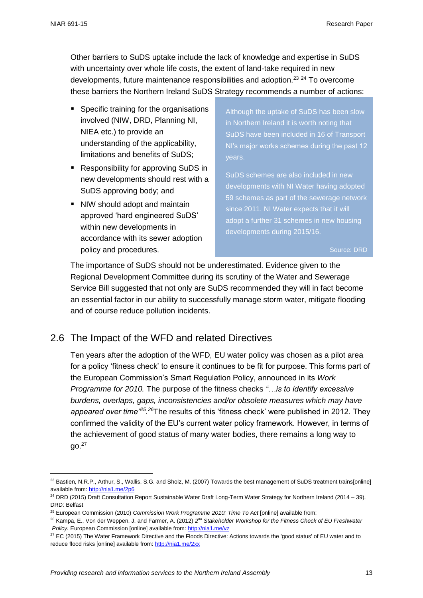$\overline{a}$ 

Other barriers to SuDS uptake include the lack of knowledge and expertise in SuDS with uncertainty over whole life costs, the extent of land-take required in new developments, future maintenance responsibilities and adoption.<sup>23</sup> <sup>24</sup> To overcome these barriers the Northern Ireland SuDS Strategy recommends a number of actions:

- Specific training for the organisations involved (NIW, DRD, Planning NI, NIEA etc.) to provide an understanding of the applicability, limitations and benefits of SuDS;
- Responsibility for approving SuDS in new developments should rest with a SuDS approving body; and
- NIW should adopt and maintain approved 'hard engineered SuDS' within new developments in accordance with its sewer adoption policy and procedures.

Although the uptake of SuDS has been slow in Northern Ireland it is worth noting that SuDS have been included in 16 of Transport NI's major works schemes during the past 12 years.

SuDS schemes are also included in new developments with NI Water having adopted 59 schemes as part of the sewerage network since 2011. NI Water expects that it will adopt a further 31 schemes in new housing developments during 2015/16.

Source: DRD

The importance of SuDS should not be underestimated. Evidence given to the Regional Development Committee during its scrutiny of the Water and Sewerage Service Bill suggested that not only are SuDS recommended they will in fact become an essential factor in our ability to successfully manage storm water, mitigate flooding and of course reduce pollution incidents.

# <span id="page-12-0"></span>2.6 The Impact of the WFD and related Directives

Ten years after the adoption of the WFD, EU water policy was chosen as a pilot area for a policy 'fitness check' to ensure it continues to be fit for purpose. This forms part of the European Commission's Smart Regulation Policy, announced in its *Work Programme for 2010.* The purpose of the fitness checks *"…is to identify excessive burdens, overlaps, gaps, inconsistencies and/or obsolete measures which may have*  appeared over time<sup>25,26</sup>The results of this 'fitness check' were published in 2012. They confirmed the validity of the EU's current water policy framework. However, in terms of the achievement of good status of many water bodies, there remains a long way to  $qo.<sup>27</sup>$ 

<sup>&</sup>lt;sup>23</sup> Bastien, N.R.P., Arthur, S., Wallis, S.G. and Sholz, M. (2007) Towards the best management of SuDS treatment trains[online] available from[: http://nia1.me/2p6](http://nia1.me/2p6)

<sup>&</sup>lt;sup>24</sup> DRD (2015) Draft Consultation Report Sustainable Water Draft Long-Term Water Strategy for Northern Ireland (2014 – 39). DRD: Belfast

<sup>25</sup> European Commission (2010) *Commission Work Programme 2010: Time To Act* [online] available from:

<sup>&</sup>lt;sup>26</sup> Kampa, E., Von der Weppen. J. and Farmer, A. (2012) 2<sup>nd</sup> Stakeholder Workshop for the Fitness Check of EU Freshwater *Policy.* European Commission [online] available from[: http://nia1.me/vz](http://nia1.me/vz)

<sup>&</sup>lt;sup>27</sup> EC (2015) The Water Framework Directive and the Floods Directive: Actions towards the 'good status' of EU water and to reduce flood risks [online] available from:<http://nia1.me/2xx>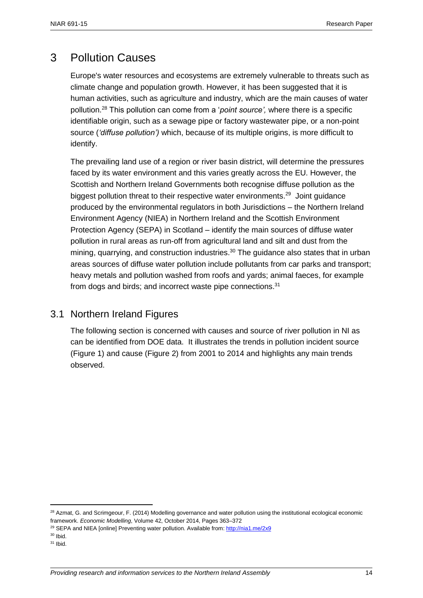# <span id="page-13-0"></span>3 Pollution Causes

Europe's water resources and ecosystems are extremely vulnerable to threats such as climate change and population growth. However, it has been suggested that it is human activities, such as agriculture and industry, which are the main causes of water pollution.<sup>28</sup> This pollution can come from a '*point source',* where there is a specific identifiable origin, such as a sewage pipe or factory wastewater pipe, or a non-point source (*'diffuse pollution')* which, because of its multiple origins, is more difficult to identify.

The prevailing land use of a region or river basin district, will determine the pressures faced by its water environment and this varies greatly across the EU. However, the Scottish and Northern Ireland Governments both recognise diffuse pollution as the biggest pollution threat to their respective water environments.<sup>29</sup> Joint guidance produced by the environmental regulators in both Jurisdictions – the Northern Ireland Environment Agency (NIEA) in Northern Ireland and the Scottish Environment Protection Agency (SEPA) in Scotland – identify the main sources of diffuse water pollution in rural areas as run-off from agricultural land and silt and dust from the mining, quarrying, and construction industries.<sup>30</sup> The guidance also states that in urban areas sources of diffuse water pollution include pollutants from car parks and transport; heavy metals and pollution washed from roofs and yards; animal faeces, for example from dogs and birds; and incorrect waste pipe connections.<sup>31</sup>

# <span id="page-13-1"></span>3.1 Northern Ireland Figures

The following section is concerned with causes and source of river pollution in NI as can be identified from DOE data. It illustrates the trends in pollution incident source (Figure 1) and cause (Figure 2) from 2001 to 2014 and highlights any main trends observed.

 $\overline{\phantom{a}}$ 

<sup>&</sup>lt;sup>28</sup> Azmat, G. and Scrimgeour, F. (2014) Modelling governance and water pollution using the institutional ecological economic framework. *Economic Modelling*, Volume 42, October 2014, Pages 363–372

<sup>&</sup>lt;sup>29</sup> SEPA and NIEA [online] Preventing water pollution. Available from[: http://nia1.me/2x9](http://nia1.me/2x9)

 $30$  Ibid.

 $31$  Ibid.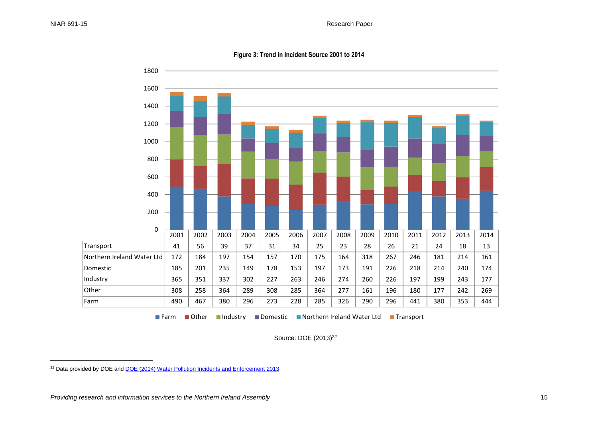$\overline{\phantom{a}}$ 



**Figure 3: Trend in Incident Source 2001 to 2014**

■ Farm Other Industry Domestic INorthern Ireland Water Ltd Transport

Source: DOE (2013)<sup>32</sup>

<sup>&</sup>lt;sup>32</sup> Data provided by DOE and **DOE** (2014) Water Pollution Incidents and Enforcement 2013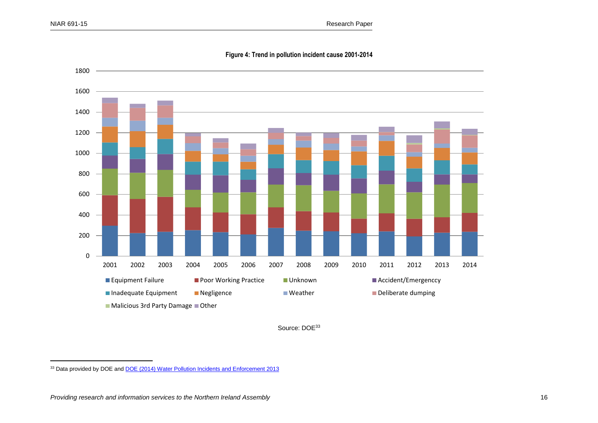$\overline{\phantom{a}}$ 



**Figure 4: Trend in pollution incident cause 2001-2014**

Source: DOE<sup>33</sup>

<sup>&</sup>lt;sup>33</sup> Data provided by DOE and **DOE** (2014) Water Pollution Incidents and Enforcement 2013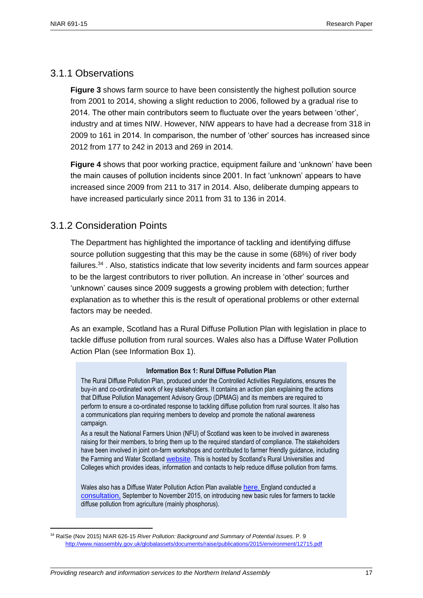$\overline{\phantom{a}}$ 

### <span id="page-16-0"></span>3.1.1 Observations

**Figure 3** shows farm source to have been consistently the highest pollution source from 2001 to 2014, showing a slight reduction to 2006, followed by a gradual rise to 2014. The other main contributors seem to fluctuate over the years between 'other', industry and at times NIW. However, NIW appears to have had a decrease from 318 in 2009 to 161 in 2014. In comparison, the number of 'other' sources has increased since 2012 from 177 to 242 in 2013 and 269 in 2014.

**Figure 4** shows that poor working practice, equipment failure and 'unknown' have been the main causes of pollution incidents since 2001. In fact 'unknown' appears to have increased since 2009 from 211 to 317 in 2014. Also, deliberate dumping appears to have increased particularly since 2011 from 31 to 136 in 2014.

### <span id="page-16-1"></span>3.1.2 Consideration Points

The Department has highlighted the importance of tackling and identifying diffuse source pollution suggesting that this may be the cause in some (68%) of river body failures.<sup>34</sup>. Also, statistics indicate that low severity incidents and farm sources appear to be the largest contributors to river pollution. An increase in 'other' sources and 'unknown' causes since 2009 suggests a growing problem with detection; further explanation as to whether this is the result of operational problems or other external factors may be needed.

As an example, Scotland has a Rural Diffuse Pollution Plan with legislation in place to tackle diffuse pollution from rural sources. Wales also has a Diffuse Water Pollution Action Plan (see Information Box 1).

#### **Information Box 1: Rural Diffuse Pollution Plan**

The Rural Diffuse Pollution Plan, produced under the Controlled Activities Regulations, ensures the buy-in and co-ordinated work of key stakeholders. It contains an action plan explaining the actions that Diffuse Pollution Management Advisory Group (DPMAG) and its members are required to perform to ensure a co-ordinated response to tackling diffuse pollution from rural sources. It also has a communications plan requiring members to develop and promote the national awareness campaign.

As a result the National Farmers Union (NFU) of Scotland was keen to be involved in awareness raising for their members, to bring them up to the required standard of compliance. The stakeholders have been involved in joint on-farm workshops and contributed to farmer friendly guidance, including the Farming and Water Scotland [website](http://www.sruc.ac.uk/info/120603/farming_and_water_scotland). This is hosted by Scotland's Rural Universities and Colleges which provides ideas, information and contacts to help reduce diffuse pollution from farms.

Wales also has a Diffuse Water Pollution Action Plan available [here](https://naturalresources.wales/water/quality/diffuse-water-pollution-action-plan/?lang=en). England conducted a [consultation,](https://consult.defra.gov.uk/water/rules-for-diffuse-water-pollution-from-agriculture) September to November 2015, on introducing new basic rules for farmers to tackle diffuse pollution from agriculture (mainly phosphorus).

<sup>34</sup> RaISe (Nov 2015) NIAR 626-15 *River Pollution: Background and Summary of Potential Issues.* P. 9 <http://www.niassembly.gov.uk/globalassets/documents/raise/publications/2015/environment/12715.pdf>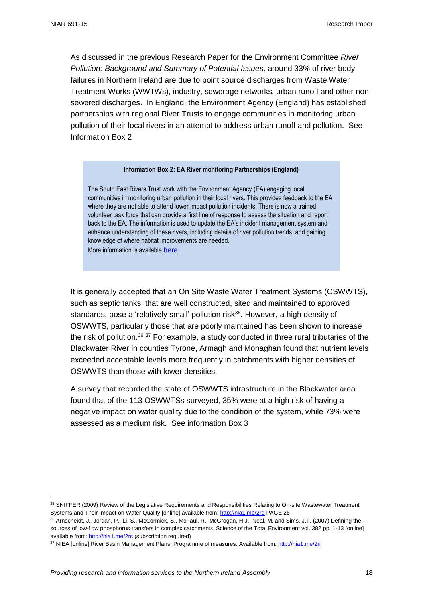$\overline{a}$ 

As discussed in the previous Research Paper for the Environment Committee *River Pollution: Background and Summary of Potential Issues,* around 33% of river body failures in Northern Ireland are due to point source discharges from Waste Water Treatment Works (WWTWs), industry, sewerage networks, urban runoff and other nonsewered discharges. In England, the Environment Agency (England) has established partnerships with regional River Trusts to engage communities in monitoring urban pollution of their local rivers in an attempt to address urban runoff and pollution. See Information Box 2

#### **Information Box 2: EA River monitoring Partnerships (England)**

The South East Rivers Trust work with the Environment Agency (EA) engaging local communities in monitoring urban pollution in their local rivers. This provides feedback to the EA where they are not able to attend lower impact pollution incidents. There is now a trained volunteer task force that can provide a first line of response to assess the situation and report back to the EA. The information is used to update the EA's incident management system and enhance understanding of these rivers, including details of river pollution trends, and gaining knowledge of where habitat improvements are needed.

More information is available [here](http://www.catchmentbasedapproach.org/deliver/monitoring/urban-pollution-monitoring).

It is generally accepted that an On Site Waste Water Treatment Systems (OSWWTS), such as septic tanks, that are well constructed, sited and maintained to approved standards, pose a 'relatively small' pollution risk<sup>35</sup>. However, a high density of OSWWTS, particularly those that are poorly maintained has been shown to increase the risk of pollution.<sup>36 37</sup> For example, a study conducted in three rural tributaries of the Blackwater River in counties Tyrone, Armagh and Monaghan found that nutrient levels exceeded acceptable levels more frequently in catchments with higher densities of OSWWTS than those with lower densities.

A survey that recorded the state of OSWWTS infrastructure in the Blackwater area found that of the 113 OSWWTSs surveyed, 35% were at a high risk of having a negative impact on water quality due to the condition of the system, while 73% were assessed as a medium risk. See information Box 3

<sup>35</sup> SNIFFER (2009) Review of the Legislative Requirements and Responsibilities Relating to On-site Wastewater Treatment Systems and Their Impact on Water Quality [online] available from:<http://nia1.me/2rd> PAGE 26

<sup>36</sup> Arnscheidt, J., Jordan, P., Li, S., McCormick, S., McFaul, R., McGrogan, H.J., Neal, M. and Sims, J.T. (2007) Defining the sources of low-flow phosphorus transfers in complex catchments. Science of the Total Environment vol. 382 pp. 1-13 [online] available from[: http://nia1.me/2rc](http://nia1.me/2rc) (subscription required)

<sup>37</sup> NIEA [online] River Basin Management Plans: Programme of measures. Available from[: http://nia1.me/2ri](http://nia1.me/2ri)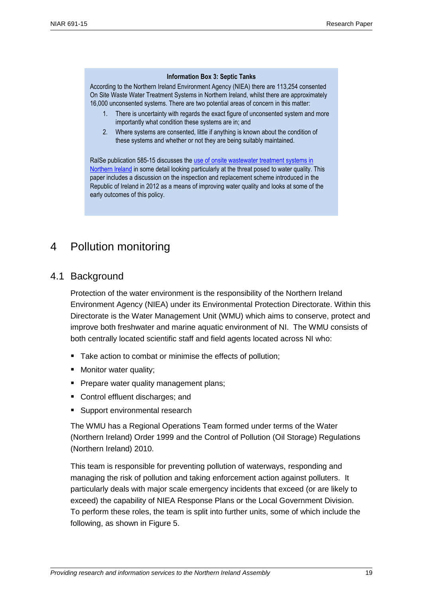#### **Information Box 3: Septic Tanks**

According to the Northern Ireland Environment Agency (NIEA) there are 113,254 consented On Site Waste Water Treatment Systems in Northern Ireland, whilst there are approximately 16,000 unconsented systems. There are two potential areas of concern in this matter:

- 1. There is uncertainty with regards the exact figure of unconsented system and more importantly what condition these systems are in; and
- 2. Where systems are consented, little if anything is known about the condition of these systems and whether or not they are being suitably maintained.

RaISe publication 585-15 discusses the use of onsite wastewater treatment systems in [Northern Ireland](http://www.niassembly.gov.uk/globalassets/documents/raise/publications/2015/regdev/11015.pdf) in some detail looking particularly at the threat posed to water quality. This paper includes a discussion on the inspection and replacement scheme introduced in the Republic of Ireland in 2012 as a means of improving water quality and looks at some of the early outcomes of this policy.

# <span id="page-18-1"></span><span id="page-18-0"></span>4 Pollution monitoring

### 4.1 Background

Protection of the water environment is the responsibility of the Northern Ireland Environment Agency (NIEA) under its Environmental Protection Directorate. Within this Directorate is the Water Management Unit (WMU) which aims to conserve, protect and improve both freshwater and marine aquatic environment of NI. The WMU consists of both centrally located scientific staff and field agents located across NI who:

- Take action to combat or minimise the effects of pollution:
- **Monitor water quality;**
- **Prepare water quality management plans;**
- Control effluent discharges; and
- Support environmental research

The WMU has a Regional Operations Team formed under terms of the Water (Northern Ireland) Order 1999 and the Control of Pollution (Oil Storage) Regulations (Northern Ireland) 2010.

This team is responsible for preventing pollution of waterways, responding and managing the risk of pollution and taking enforcement action against polluters. It particularly deals with major scale emergency incidents that exceed (or are likely to exceed) the capability of NIEA Response Plans or the Local Government Division. To perform these roles, the team is split into further units, some of which include the following, as shown in Figure 5.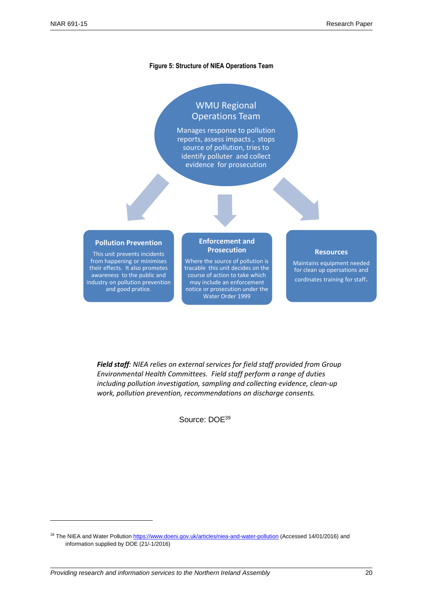$\overline{a}$ 

#### **Figure 5: Structure of NIEA Operations Team**

# WMU Regional Operations Team

Manages response to pollution reports, assess impacts , stops source of pollution, tries to identify polluter and collect evidence for prosecution

#### **Pollution Prevention**

This unit prevents incidents from happening or minimises their effects. It also promotes awareness to the public and industry on pollution prevention and good pratice.

#### **Enforcement and Prosecution**

Where the source of pollution is tracable this unit decides on the course of action to take which may include an enforcement notice or prosecution under the Water Order 1999

#### **Resources**

Maintains equipment needed for clean up opersations and cordinates training for staff.

Source: DOE<sup>38</sup> *Environmental Health Committees. Field staff perform a range of duties Field staff: NIEA relies on external services for field staff provided from Group including pollution investigation, sampling and collecting evidence, clean-up work, pollution prevention, recommendations on discharge consents.*

Source: DOE<sup>39</sup>

<sup>39</sup> The NIEA and Water Pollutio[n https://www.doeni.gov.uk/articles/niea-and-water-pollution](https://www.doeni.gov.uk/articles/niea-and-water-pollution) (Accessed 14/01/2016) and information supplied by DOE (21/-1/2016)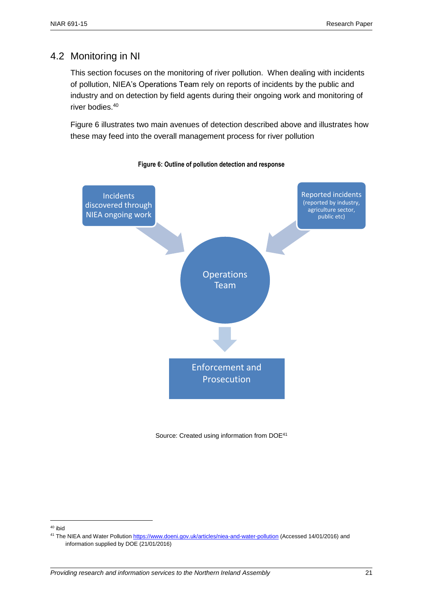# <span id="page-20-0"></span>4.2 Monitoring in NI

This section focuses on the monitoring of river pollution. When dealing with incidents of pollution, NIEA's Operations Team rely on reports of incidents by the public and industry and on detection by field agents during their ongoing work and monitoring of river bodies.<sup>40</sup>

Figure 6 illustrates two main avenues of detection described above and illustrates how these may feed into the overall management process for river pollution





Source: Created using information from DOE<sup>41</sup>

<sup>40</sup> ibid

<sup>41</sup> The NIEA and Water Pollutio[n https://www.doeni.gov.uk/articles/niea-and-water-pollution](https://www.doeni.gov.uk/articles/niea-and-water-pollution) (Accessed 14/01/2016) and information supplied by DOE (21/01/2016)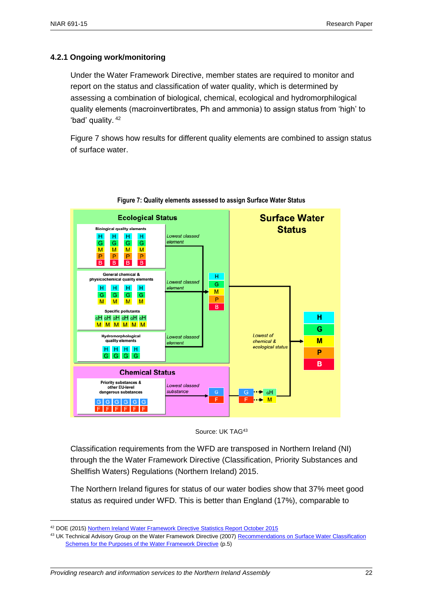#### <span id="page-21-0"></span>**4.2.1 Ongoing work/monitoring**

Under the Water Framework Directive, member states are required to monitor and report on the status and classification of water quality, which is determined by assessing a combination of biological, chemical, ecological and hydromorphilogical quality elements (macroinvertibrates, Ph and ammonia) to assign status from 'high' to 'bad' quality. <sup>42</sup>

Figure 7 shows how results for different quality elements are combined to assign status of surface water.



**Figure 7: Quality elements assessed to assign Surface Water Status**



Classification requirements from the WFD are transposed in Northern Ireland (NI) through the the Water Framework Directive (Classification, Priority Substances and Shellfish Waters) Regulations (Northern Ireland) 2015.

The Northern Ireland figures for status of our water bodies show that 37% meet good status as required under WFD. This is better than England (17%), comparable to

<sup>42</sup> DOE (2015[\) Northern Ireland Water Framework Directive Statistics Report October 2015](http://www.doeni.gov.uk/niea/water-report-ni-wfd-statistics-october-2015.pdf)

<sup>&</sup>lt;sup>43</sup> UK Technical Advisory Group on the Water Framework Directive (2007) Recommendations on Surface Water Classification [Schemes for the Purposes of the Water Framework Directive](http://www.wfduk.org/sites/default/files/Media/Characterisation%20of%20the%20water%20environment/Recommendations%20on%20surface%20water%20status%20classification_Final_010609.pdf) (p.5)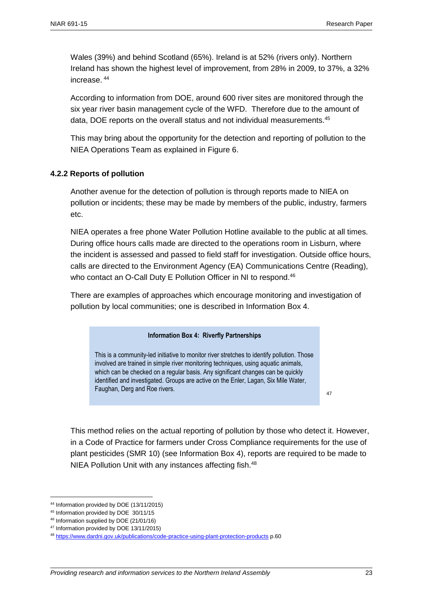Wales (39%) and behind Scotland (65%). Ireland is at 52% (rivers only). Northern Ireland has shown the highest level of improvement, from 28% in 2009, to 37%, a 32% increase. <sup>44</sup>

According to information from DOE, around 600 river sites are monitored through the six year river basin management cycle of the WFD. Therefore due to the amount of data, DOE reports on the overall status and not individual measurements.<sup>45</sup>

This may bring about the opportunity for the detection and reporting of pollution to the NIEA Operations Team as explained in Figure 6.

#### <span id="page-22-0"></span>**4.2.2 Reports of pollution**

Another avenue for the detection of pollution is through reports made to NIEA on pollution or incidents; these may be made by members of the public, industry, farmers etc.

NIEA operates a free phone Water Pollution Hotline available to the public at all times. During office hours calls made are directed to the operations room in Lisburn, where the incident is assessed and passed to field staff for investigation. Outside office hours, calls are directed to the Environment Agency (EA) Communications Centre (Reading), who contact an O-Call Duty E Pollution Officer in NI to respond.<sup>46</sup>

There are examples of approaches which encourage monitoring and investigation of pollution by local communities; one is described in Information Box 4.

#### **Information Box 4: Riverfly Partnerships**

This is a community-led initiative to monitor river stretches to identify pollution. Those involved are trained in simple river monitoring techniques, using aquatic animals, which can be checked on a regular basis. Any significant changes can be quickly identified and investigated. Groups are active on the Enler, Lagan, Six Mile Water, Faughan, Derg and Roe rivers.

47

This method relies on the actual reporting of pollution by those who detect it. However, in a Code of Practice for farmers under Cross Compliance requirements for the use of plant pesticides (SMR 10) (see Information Box 4), reports are required to be made to NIEA Pollution Unit with any instances affecting fish.<sup>48</sup>

<sup>44</sup> Information provided by DOE (13/11/2015)

<sup>45</sup> Information provided by DOE 30/11/15

<sup>46</sup> Information supplied by DOE (21/01/16)

<sup>47</sup> Information provided by DOE 13/11/2015)

<sup>48</sup> <https://www.dardni.gov.uk/publications/code-practice-using-plant-protection-products> p.60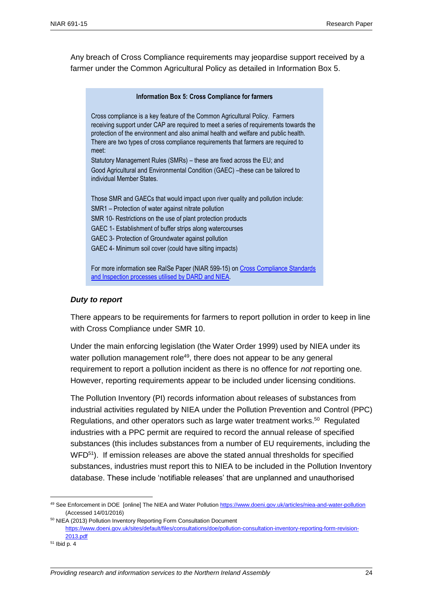Any breach of Cross Compliance requirements may jeopardise support received by a farmer under the Common Agricultural Policy as detailed in Information Box 5.

| Information Box 5: Cross Compliance for farmers                                                                                                                                                                                                                                                                                                            |  |  |  |
|------------------------------------------------------------------------------------------------------------------------------------------------------------------------------------------------------------------------------------------------------------------------------------------------------------------------------------------------------------|--|--|--|
| Cross compliance is a key feature of the Common Agricultural Policy. Farmers<br>receiving support under CAP are required to meet a series of requirements towards the<br>protection of the environment and also animal health and welfare and public health.<br>There are two types of cross compliance requirements that farmers are required to<br>meet: |  |  |  |
| Statutory Management Rules (SMRs) - these are fixed across the EU; and                                                                                                                                                                                                                                                                                     |  |  |  |
| Good Agricultural and Environmental Condition (GAEC) -these can be tailored to<br>individual Member States.                                                                                                                                                                                                                                                |  |  |  |
| Those SMR and GAECs that would impact upon river quality and pollution include:                                                                                                                                                                                                                                                                            |  |  |  |
| SMR1 - Protection of water against nitrate pollution                                                                                                                                                                                                                                                                                                       |  |  |  |
| SMR 10- Restrictions on the use of plant protection products                                                                                                                                                                                                                                                                                               |  |  |  |
| GAEC 1- Establishment of buffer strips along watercourses                                                                                                                                                                                                                                                                                                  |  |  |  |
| GAEC 3- Protection of Groundwater against pollution                                                                                                                                                                                                                                                                                                        |  |  |  |
| GAEC 4- Minimum soil cover (could have silting impacts)                                                                                                                                                                                                                                                                                                    |  |  |  |
| For more information see RaISe Paper (NIAR 599-15) on Cross Compliance Standards                                                                                                                                                                                                                                                                           |  |  |  |

#### *Duty to report*

There appears to be requirements for farmers to report pollution in order to keep in line with Cross Compliance under SMR 10.

Under the main enforcing legislation (the Water Order 1999) used by NIEA under its water pollution management role<sup>49</sup>, there does not appear to be any general requirement to report a pollution incident as there is no offence for *not* reporting one. However, reporting requirements appear to be included under licensing conditions.

The Pollution Inventory (PI) records information about releases of substances from industrial activities regulated by NIEA under the Pollution Prevention and Control (PPC) Regulations, and other operators such as large water treatment works. <sup>50</sup> Regulated industries with a PPC permit are required to record the annual release of specified substances (this includes substances from a number of EU requirements, including the WFD<sup>51</sup>). If emission releases are above the stated annual thresholds for specified substances, industries must report this to NIEA to be included in the Pollution Inventory database. These include 'notifiable releases' that are unplanned and unauthorised

 $\overline{a}$ 

[and Inspection processes utilised by DARD and NIEA.](http://www.niassembly.gov.uk/globalassets/documents/raise/publications/2016/agriculture/1716.pdf)

<sup>49</sup> See Enforcement in DOE [online] The NIEA and Water Pollution<https://www.doeni.gov.uk/articles/niea-and-water-pollution> (Accessed 14/01/2016)

<sup>50</sup> NIEA (2013) Pollution Inventory Reporting Form Consultation Document [https://www.doeni.gov.uk/sites/default/files/consultations/doe/pollution-consultation-inventory-reporting-form-revision-](https://www.doeni.gov.uk/sites/default/files/consultations/doe/pollution-consultation-inventory-reporting-form-revision-2013.pdf)[2013.pdf](https://www.doeni.gov.uk/sites/default/files/consultations/doe/pollution-consultation-inventory-reporting-form-revision-2013.pdf)

<sup>51</sup> Ibid p. 4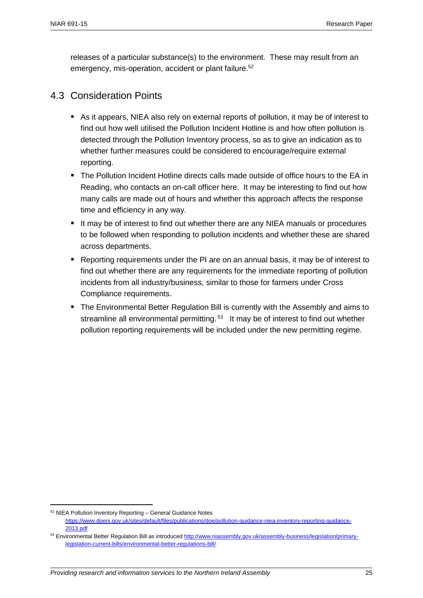releases of a particular substance(s) to the environment. These may result from an emergency, mis-operation, accident or plant failure.<sup>52</sup>

### <span id="page-24-0"></span>4.3 Consideration Points

- As it appears, NIEA also rely on external reports of pollution, it may be of interest to find out how well utilised the Pollution Incident Hotline is and how often pollution is detected through the Pollution Inventory process, so as to give an indication as to whether further measures could be considered to encourage/require external reporting.
- The Pollution Incident Hotline directs calls made outside of office hours to the EA in Reading, who contacts an on-call officer here. It may be interesting to find out how many calls are made out of hours and whether this approach affects the response time and efficiency in any way.
- It may be of interest to find out whether there are any NIEA manuals or procedures to be followed when responding to pollution incidents and whether these are shared across departments.
- Reporting requirements under the PI are on an annual basis, it may be of interest to find out whether there are any requirements for the immediate reporting of pollution incidents from all industry/business, similar to those for farmers under Cross Compliance requirements.
- The Environmental Better Regulation Bill is currently with the Assembly and aims to streamline all environmental permitting.<sup>53</sup> It may be of interest to find out whether pollution reporting requirements will be included under the new permitting regime.

 $\overline{\phantom{a}}$ 

<sup>52</sup> NIEA Pollution Inventory Reporting – General Guidance Notes

[https://www.doeni.gov.uk/sites/default/files/publications/doe/pollution-guidance-niea-inventory-reporting-guidance-](https://www.doeni.gov.uk/sites/default/files/publications/doe/pollution-guidance-niea-inventory-reporting-guidance-2013.pdf)[2013.pdf](https://www.doeni.gov.uk/sites/default/files/publications/doe/pollution-guidance-niea-inventory-reporting-guidance-2013.pdf)

<sup>53</sup> Environmental Better Regulation Bill as introduce[d http://www.niassembly.gov.uk/assembly-business/legislation/primary](http://www.niassembly.gov.uk/assembly-business/legislation/primary-legislation-current-bills/environmental-better-regulations-bill/)[legislation-current-bills/environmental-better-regulations-bill/](http://www.niassembly.gov.uk/assembly-business/legislation/primary-legislation-current-bills/environmental-better-regulations-bill/)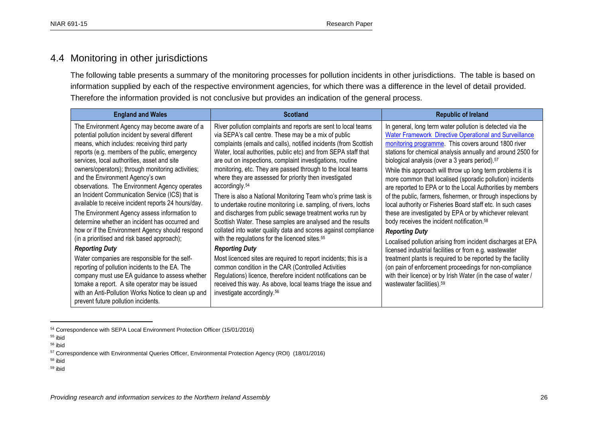### 4.4 Monitoring in other jurisdictions

The following table presents a summary of the monitoring processes for pollution incidents in other jurisdictions. The table is based on information supplied by each of the respective environment agencies, for which there was a difference in the level of detail provided. Therefore the information provided is not conclusive but provides an indication of the general process.

| <b>England and Wales</b>                                                                                                                                                                                                                                                                                                                                                                                                                                                                                                                                                                                                                                                                                   | <b>Scotland</b>                                                                                                                                                                                                                                                                                                                                                                                                                                                                                                                                                                                                                                                                                                                                                                                                                                                               | <b>Republic of Ireland</b>                                                                                                                                                                                                                                                                                                                                                                                                                                                                                                                                                                                                                                                                                                                                                                                                                         |
|------------------------------------------------------------------------------------------------------------------------------------------------------------------------------------------------------------------------------------------------------------------------------------------------------------------------------------------------------------------------------------------------------------------------------------------------------------------------------------------------------------------------------------------------------------------------------------------------------------------------------------------------------------------------------------------------------------|-------------------------------------------------------------------------------------------------------------------------------------------------------------------------------------------------------------------------------------------------------------------------------------------------------------------------------------------------------------------------------------------------------------------------------------------------------------------------------------------------------------------------------------------------------------------------------------------------------------------------------------------------------------------------------------------------------------------------------------------------------------------------------------------------------------------------------------------------------------------------------|----------------------------------------------------------------------------------------------------------------------------------------------------------------------------------------------------------------------------------------------------------------------------------------------------------------------------------------------------------------------------------------------------------------------------------------------------------------------------------------------------------------------------------------------------------------------------------------------------------------------------------------------------------------------------------------------------------------------------------------------------------------------------------------------------------------------------------------------------|
| The Environment Agency may become aware of a<br>potential pollution incident by several different<br>means, which includes: receiving third party<br>reports (e.g. members of the public, emergency<br>services, local authorities, asset and site<br>owners/operators); through monitoring activities;<br>and the Environment Agency's own<br>observations. The Environment Agency operates<br>an Incident Communication Service (ICS) that is<br>available to receive incident reports 24 hours/day.<br>The Environment Agency assess information to<br>determine whether an incident has occurred and<br>how or if the Environment Agency should respond<br>(in a prioritised and risk based approach); | River pollution complaints and reports are sent to local teams<br>via SEPA's call centre. These may be a mix of public<br>complaints (emails and calls), notified incidents (from Scottish<br>Water, local authorities, public etc) and from SEPA staff that<br>are out on inspections, complaint investigations, routine<br>monitoring, etc. They are passed through to the local teams<br>where they are assessed for priority then investigated<br>accordingly. <sup>54</sup><br>There is also a National Monitoring Team who's prime task is<br>to undertake routine monitoring i.e. sampling, of rivers, lochs<br>and discharges from public sewage treatment works run by<br>Scottish Water. These samples are analysed and the results<br>collated into water quality data and scores against compliance<br>with the regulations for the licenced sites. <sup>55</sup> | In general, long term water pollution is detected via the<br><b>Water Framework Directive Operational and Surveillance</b><br>monitoring programme. This covers around 1800 river<br>stations for chemical analysis annually and around 2500 for<br>biological analysis (over a 3 years period). <sup>57</sup><br>While this approach will throw up long term problems it is<br>more common that localised (sporadic pollution) incidents<br>are reported to EPA or to the Local Authorities by members<br>of the public, farmers, fishermen, or through inspections by<br>local authority or Fisheries Board staff etc. In such cases<br>these are investigated by EPA or by whichever relevant<br>body receives the incident notification. <sup>58</sup><br><b>Reporting Duty</b><br>Localised pollution arising from incident discharges at EPA |
| <b>Reporting Duty</b>                                                                                                                                                                                                                                                                                                                                                                                                                                                                                                                                                                                                                                                                                      | <b>Reporting Duty</b>                                                                                                                                                                                                                                                                                                                                                                                                                                                                                                                                                                                                                                                                                                                                                                                                                                                         | licensed industrial facilities or from e.g. wastewater                                                                                                                                                                                                                                                                                                                                                                                                                                                                                                                                                                                                                                                                                                                                                                                             |
| Water companies are responsible for the self-<br>reporting of pollution incidents to the EA. The<br>company must use EA guidance to assess whether<br>tomake a report. A site operator may be issued<br>with an Anti-Pollution Works Notice to clean up and<br>prevent future pollution incidents.                                                                                                                                                                                                                                                                                                                                                                                                         | Most licenced sites are required to report incidents; this is a<br>common condition in the CAR (Controlled Activities<br>Regulations) licence, therefore incident notifications can be<br>received this way. As above, local teams triage the issue and<br>investigate accordingly. <sup>56</sup>                                                                                                                                                                                                                                                                                                                                                                                                                                                                                                                                                                             | treatment plants is required to be reported by the facility<br>(on pain of enforcement proceedings for non-compliance<br>with their licence) or by Irish Water (in the case of water /<br>wastewater facilities). <sup>59</sup>                                                                                                                                                                                                                                                                                                                                                                                                                                                                                                                                                                                                                    |

<sup>54</sup> Correspondence with SEPA Local Environment Protection Officer (15/01/2016)

<span id="page-25-0"></span> $\overline{a}$ 

<sup>59</sup> ibid

<sup>55</sup> ibid

<sup>56</sup> ibid

<sup>57</sup> Correspondence with Environmental Queries Officer, Environmental Protection Agency (ROI) (18/01/2016)

<sup>58</sup> ibid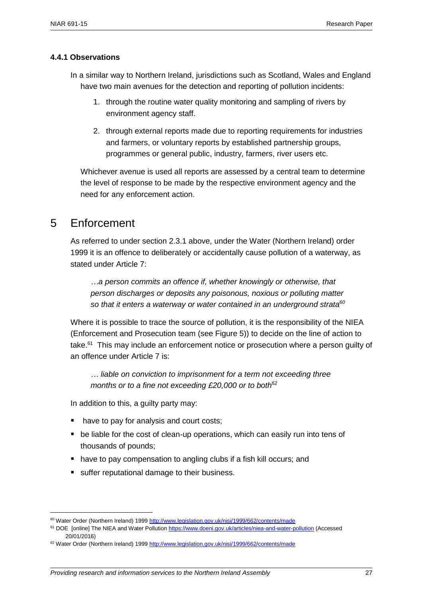#### <span id="page-26-0"></span>**4.4.1 Observations**

- In a similar way to Northern Ireland, jurisdictions such as Scotland, Wales and England have two main avenues for the detection and reporting of pollution incidents:
	- 1. through the routine water quality monitoring and sampling of rivers by environment agency staff.
	- 2. through external reports made due to reporting requirements for industries and farmers, or voluntary reports by established partnership groups, programmes or general public, industry, farmers, river users etc.

Whichever avenue is used all reports are assessed by a central team to determine the level of response to be made by the respective environment agency and the need for any enforcement action.

# <span id="page-26-1"></span>5 Enforcement

 $\overline{\phantom{a}}$ 

As referred to under section 2.3.1 above, under the Water (Northern Ireland) order 1999 it is an offence to deliberately or accidentally cause pollution of a waterway, as stated under Article 7:

*…a person commits an offence if, whether knowingly or otherwise, that person discharges or deposits any poisonous, noxious or polluting matter so that it enters a waterway or water contained in an underground strata<sup>60</sup>*

Where it is possible to trace the source of pollution, it is the responsibility of the NIEA (Enforcement and Prosecution team (see Figure 5)) to decide on the line of action to take.<sup>61</sup> This may include an enforcement notice or prosecution where a person guilty of an offence under Article 7 is:

*… liable on conviction to imprisonment for a term not exceeding three months or to a fine not exceeding £20,000 or to both<sup>62</sup>*

In addition to this, a guilty party may:

- have to pay for analysis and court costs;
- **be liable for the cost of clean-up operations, which can easily run into tens of** thousands of pounds;
- have to pay compensation to angling clubs if a fish kill occurs; and
- suffer reputational damage to their business.

<sup>60</sup> Water Order (Northern Ireland) 199[9 http://www.legislation.gov.uk/nisi/1999/662/contents/made](http://www.legislation.gov.uk/nisi/1999/662/contents/made)

<sup>61</sup> DOE [online] The NIEA and Water Pollutio[n https://www.doeni.gov.uk/articles/niea-and-water-pollution](https://www.doeni.gov.uk/articles/niea-and-water-pollution) (Accessed 20/01/2016)

<sup>62</sup> Water Order (Northern Ireland) 199[9 http://www.legislation.gov.uk/nisi/1999/662/contents/made](http://www.legislation.gov.uk/nisi/1999/662/contents/made)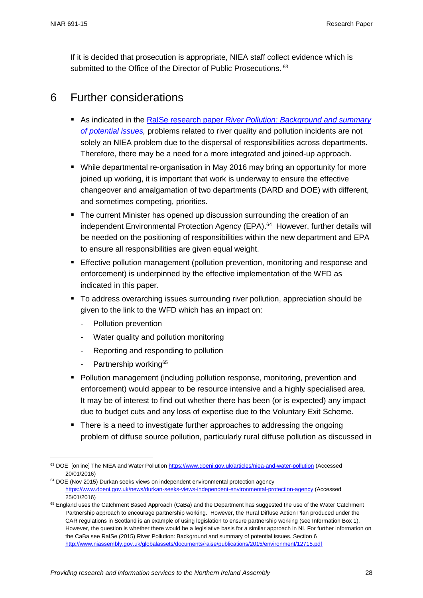If it is decided that prosecution is appropriate, NIEA staff collect evidence which is submitted to the Office of the Director of Public Prosecutions. 63

# <span id="page-27-0"></span>6 Further considerations

- As indicated in the RaISe research paper *[River Pollution: Background and summary](http://www.niassembly.gov.uk/globalassets/documents/raise/publications/2015/environment/12715.pdf)  [of potential issues,](http://www.niassembly.gov.uk/globalassets/documents/raise/publications/2015/environment/12715.pdf)* problems related to river quality and pollution incidents are not solely an NIEA problem due to the dispersal of responsibilities across departments. Therefore, there may be a need for a more integrated and joined-up approach.
- While departmental re-organisation in May 2016 may bring an opportunity for more joined up working, it is important that work is underway to ensure the effective changeover and amalgamation of two departments (DARD and DOE) with different, and sometimes competing, priorities.
- **The current Minister has opened up discussion surrounding the creation of an** independent Environmental Protection Agency (EPA). 64 However, further details will be needed on the positioning of responsibilities within the new department and EPA to ensure all responsibilities are given equal weight.
- Effective pollution management (pollution prevention, monitoring and response and enforcement) is underpinned by the effective implementation of the WFD as indicated in this paper.
- To address overarching issues surrounding river pollution, appreciation should be given to the link to the WFD which has an impact on:
	- Pollution prevention
	- Water quality and pollution monitoring
	- Reporting and responding to pollution
	- Partnership working<sup>65</sup>

 $\overline{\phantom{a}}$ 

- Pollution management (including pollution response, monitoring, prevention and enforcement) would appear to be resource intensive and a highly specialised area. It may be of interest to find out whether there has been (or is expected) any impact due to budget cuts and any loss of expertise due to the Voluntary Exit Scheme.
- There is a need to investigate further approaches to addressing the ongoing problem of diffuse source pollution, particularly rural diffuse pollution as discussed in

<sup>63</sup> DOE [online] The NIEA and Water Pollutio[n https://www.doeni.gov.uk/articles/niea-and-water-pollution](https://www.doeni.gov.uk/articles/niea-and-water-pollution) (Accessed 20/01/2016)

<sup>&</sup>lt;sup>64</sup> DOE (Nov 2015) Durkan seeks views on independent environmental protection agency <https://www.doeni.gov.uk/news/durkan-seeks-views-independent-environmental-protection-agency> (Accessed 25/01/2016)

<sup>&</sup>lt;sup>65</sup> England uses the Catchment Based Approach (CaBa) and the Department has suggested the use of the Water Catchment Partnership approach to encourage partnership working. However, the Rural Diffuse Action Plan produced under the CAR regulations in Scotland is an example of using legislation to ensure partnership working (see Information Box 1). However, the question is whether there would be a legislative basis for a similar approach in NI. For further information on the CaBa see RaISe (2015) River Pollution: Background and summary of potential issues. Section 6 <http://www.niassembly.gov.uk/globalassets/documents/raise/publications/2015/environment/12715.pdf>